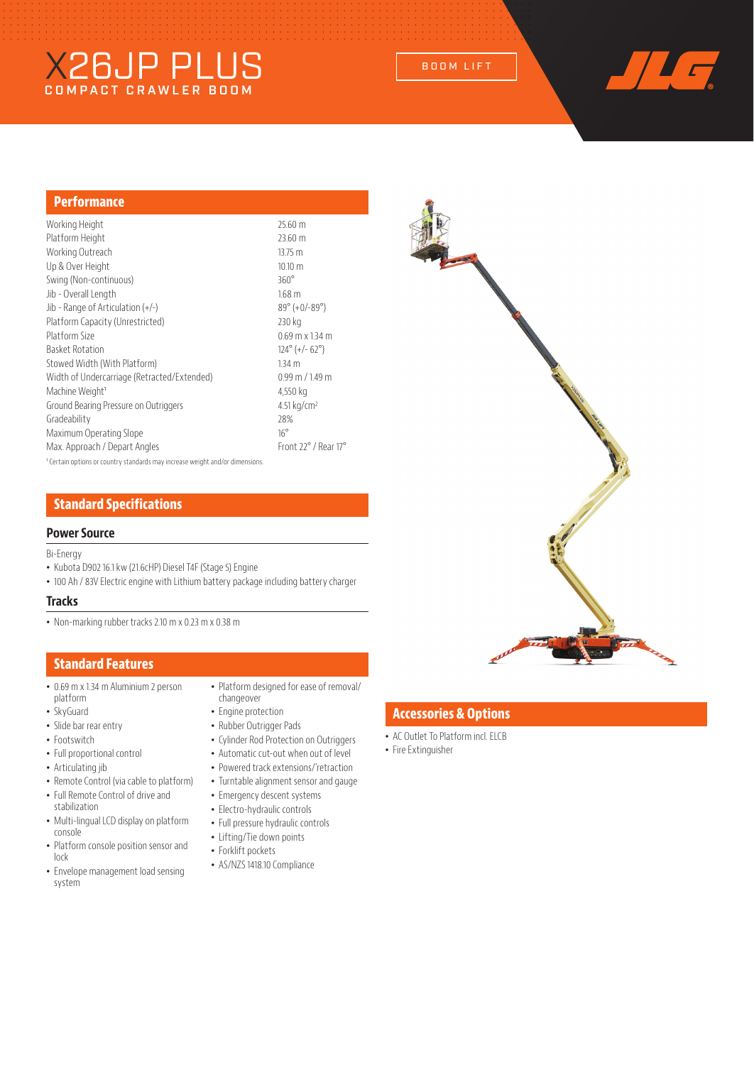# X26JP PLUS BOOM LIFT



## **Performance**

| Working Height                                                                           | 25.60 m                            |
|------------------------------------------------------------------------------------------|------------------------------------|
| Platform Height                                                                          | 23.60 m                            |
| Working Outreach                                                                         | 13.75 m                            |
| Up & Over Height                                                                         | $10.10 \text{ m}$                  |
| Swing (Non-continuous)                                                                   | $360^\circ$                        |
| Jib - Overall Length                                                                     | 1.68 <sub>m</sub>                  |
| Jib - Range of Articulation $(+/-)$                                                      | $89^{\circ}$ (+0/-89 $^{\circ}$ )  |
| Platform Capacity (Unrestricted)                                                         | 230 kg                             |
| Platform Size                                                                            | $0.69$ m x 1.34 m                  |
| <b>Basket Rotation</b>                                                                   | $124^{\circ}$ (+/- 62 $^{\circ}$ ) |
| Stowed Width (With Platform)                                                             | 1.34 <sub>m</sub>                  |
| Width of Undercarriage (Retracted/Extended)                                              | $0.99$ m $/$ 1.49 m                |
| Machine Weight <sup>1</sup>                                                              | 4,550 kg                           |
| Ground Bearing Pressure on Outriggers                                                    | 4.51 kg/cm <sup>2</sup>            |
| Gradeability                                                                             | 28%                                |
| Maximum Operating Slope                                                                  | $16^{\circ}$                       |
| Max. Approach / Depart Angles                                                            | Front 22° / Rear 17°               |
| <sup>1</sup> Certain options or country standards may increase weight and/or dimensions. |                                    |

# **Standard Specifications**

## **Power Source**

#### Bi-Energy

- Kubota D902 16.1 kw (21.6cHP) Diesel T4F (Stage 5) Engine
- 100 Ah / 83V Electric engine with Lithium battery package including battery charger

#### **Tracks**

• Non-marking rubber tracks 2.10 m x 0.23 m x 0.38 m

## **Standard Features**

- 0.69 m x 1.34 m Aluminium 2 person platform
- SkyGuard
- Slide bar rear entry
- Footswitch
- Full proportional control
- Articulating jib
- Remote Control (via cable to platform)
- Full Remote Control of drive and stabilization
- Multi-lingual LCD display on platform console
- Platform console position sensor and lock
- Envelope management load sensing system
- Platform designed for ease of removal/ changeover
- Engine protection
- Rubber Outrigger Pads
- Cylinder Rod Protection on Outriggers
- Automatic cut-out when out of level
- Powered track extensions/'retraction
- Turntable alignment sensor and gauge
- Emergency descent systems
- Electro-hydraulic controls
- Full pressure hydraulic controls
- Lifting/Tie down points
- Forklift pockets
- AS/NZS 1418.10 Compliance



# **Accessories & Options**

- AC Outlet To Platform incl. ELCB
- Fire Extinguisher